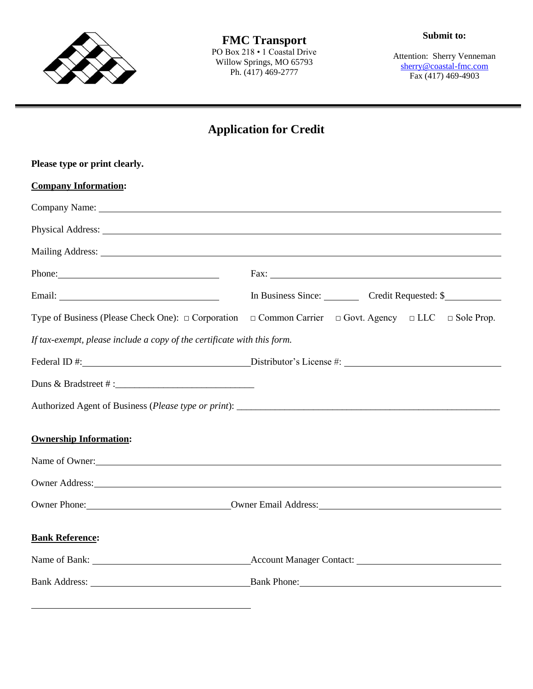

**FMC Transport** PO Box 218 • 1 Coastal Drive Willow Springs, MO 65793 Ph. (417) 469-2777

Attention: Sherry Venneman [sherry@coastal-fmc.com](mailto:sherry@coastal-fmc.com) Fax (417) 469-4903

## **Application for Credit**

| Please type or print clearly.                                                                                                                                                                                                        |                                                                                                                                                                                                                                     |  |  |  |
|--------------------------------------------------------------------------------------------------------------------------------------------------------------------------------------------------------------------------------------|-------------------------------------------------------------------------------------------------------------------------------------------------------------------------------------------------------------------------------------|--|--|--|
| <b>Company Information:</b>                                                                                                                                                                                                          |                                                                                                                                                                                                                                     |  |  |  |
|                                                                                                                                                                                                                                      |                                                                                                                                                                                                                                     |  |  |  |
|                                                                                                                                                                                                                                      | Physical Address:                                                                                                                                                                                                                   |  |  |  |
| Mailing Address: 1988 and 2008 and 2008 and 2008 and 2008 and 2008 and 2008 and 2008 and 2008 and 2008 and 200                                                                                                                       |                                                                                                                                                                                                                                     |  |  |  |
| Phone:                                                                                                                                                                                                                               |                                                                                                                                                                                                                                     |  |  |  |
|                                                                                                                                                                                                                                      | In Business Since: Credit Requested: \$                                                                                                                                                                                             |  |  |  |
|                                                                                                                                                                                                                                      | Type of Business (Please Check One): $\Box$ Corporation $\Box$ Common Carrier $\Box$ Govt. Agency $\Box$ LLC $\Box$ Sole Prop.                                                                                                      |  |  |  |
| If tax-exempt, please include a copy of the certificate with this form.                                                                                                                                                              |                                                                                                                                                                                                                                     |  |  |  |
|                                                                                                                                                                                                                                      |                                                                                                                                                                                                                                     |  |  |  |
|                                                                                                                                                                                                                                      |                                                                                                                                                                                                                                     |  |  |  |
|                                                                                                                                                                                                                                      |                                                                                                                                                                                                                                     |  |  |  |
| <b>Ownership Information:</b>                                                                                                                                                                                                        |                                                                                                                                                                                                                                     |  |  |  |
|                                                                                                                                                                                                                                      | Name of Owner:                                                                                                                                                                                                                      |  |  |  |
|                                                                                                                                                                                                                                      | Owner Address: No. 1996. The Contract of the Contract of the Contract of the Contract of the Contract of the Contract of the Contract of the Contract of the Contract of the Contract of the Contract of the Contract of the C      |  |  |  |
| Owner Phone: <u>Communications Communications Communications Communications Communications Communications Communications Communications Communications Communications Communications Communications Communications Communication</u> |                                                                                                                                                                                                                                     |  |  |  |
|                                                                                                                                                                                                                                      |                                                                                                                                                                                                                                     |  |  |  |
| <b>Bank Reference:</b>                                                                                                                                                                                                               |                                                                                                                                                                                                                                     |  |  |  |
|                                                                                                                                                                                                                                      | Name of Bank: <u>Name of Bank:</u> Name of Bank: Name of Bank: Name of Bank: Name of Bank: Name of Bank: Name of Bank: Name of Bank: Name of Bank: Name of Bank: Name of Bank: Name of Bank: Name of Bank: Name of Bank: Name of Ba |  |  |  |
|                                                                                                                                                                                                                                      |                                                                                                                                                                                                                                     |  |  |  |
|                                                                                                                                                                                                                                      |                                                                                                                                                                                                                                     |  |  |  |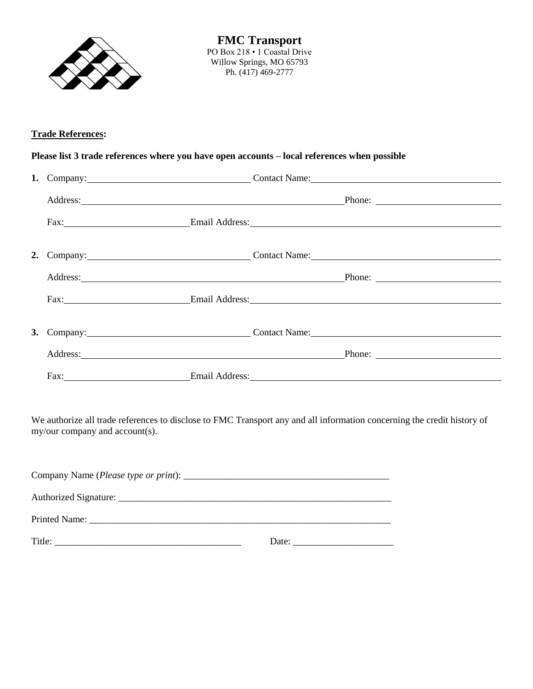

**FMC Transport** PO Box 218 • 1 Coastal Drive Willow Springs, MO 65793 Ph. (417) 469-2777

## **Trade References:**

## **Please list 3 trade references where you have open accounts – local references when possible**

|  | 1. Company: Contact Name: Contact Name:                                      |
|--|------------------------------------------------------------------------------|
|  | Address: Phone: Phone: Phone: Phone: Phone: Phone: Phone: Phone: Phone: 2014 |
|  | Fax: Email Address: Email Address:                                           |
|  | 2. Company: Contact Name: Contact Name:                                      |
|  | Address: Phone: Phone: Phone: Phone: Phone: Phone: Phone: Phone: Phone: 2014 |
|  | Fax: Email Address: Email Address:                                           |
|  | 3. Company: Contact Name:                                                    |
|  | Address: Phone: Phone: Phone: Phone: Phone: Phone: Phone: Phone: 2014        |
|  | Fax: Email Address: Email Address:                                           |

We authorize all trade references to disclose to FMC Transport any and all information concerning the credit history of my/our company and account(s).

Company Name (*Please type or print*): \_\_\_\_\_\_\_\_\_\_\_\_\_\_\_\_\_\_\_\_\_\_\_\_\_\_\_\_\_\_\_\_\_\_\_\_\_\_\_\_\_\_\_ Authorized Signature: \_\_\_\_\_\_\_\_\_\_\_\_\_\_\_\_\_\_\_\_\_\_\_\_\_\_\_\_\_\_\_\_\_\_\_\_\_\_\_\_\_\_\_\_\_\_\_\_\_\_\_\_\_\_\_\_\_ Printed Name: \_\_\_\_\_\_\_\_\_\_\_\_\_\_\_\_\_\_\_\_\_\_\_\_\_\_\_\_\_\_\_\_\_\_\_\_\_\_\_\_\_\_\_\_\_\_\_\_\_\_\_\_\_\_\_\_\_\_\_\_\_\_\_ Title: \_\_\_\_\_\_\_\_\_\_\_\_\_\_\_\_\_\_\_\_\_\_\_\_\_\_\_\_\_\_\_\_\_\_\_\_\_\_\_ Date: \_\_\_\_\_\_\_\_\_\_\_\_\_\_\_\_\_\_\_\_\_